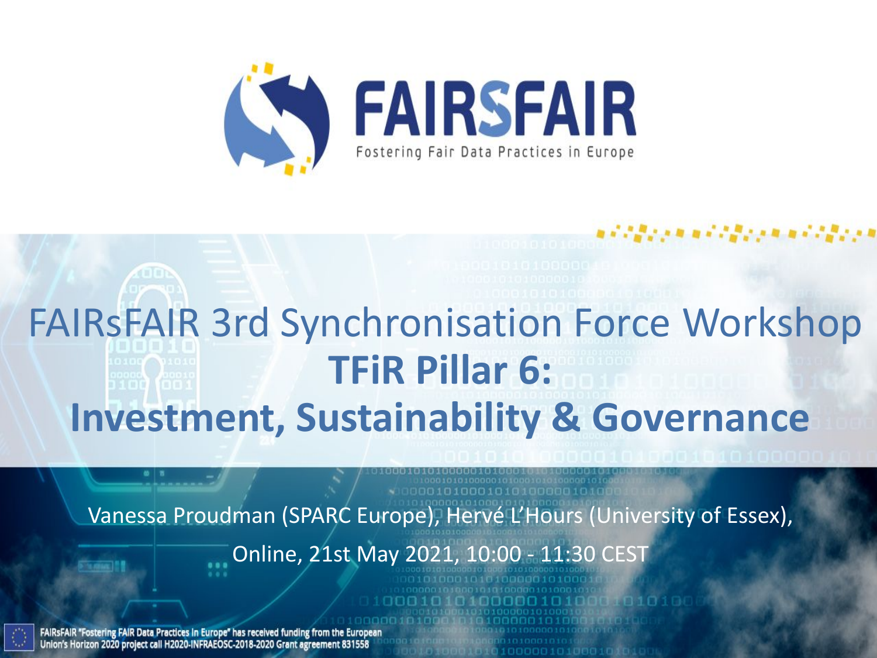

# FAIRsFAIR 3rd Synchronisation Force Workshop **TFiR Pillar 6: Investment, Sustainability & Governance**

Vanessa Proudman (SPARC Europe), Hervé L'Hours (University of Essex),

Online, 21st May 2021, 10:00 - 11:30 CEST

FAIRSFAIR "Fostering FAIR Data Practices in Europe" has received funding from the European Union's Horizon 2020 project call H2020-INFRAEOSC-2018-2020 Grant agreement 831558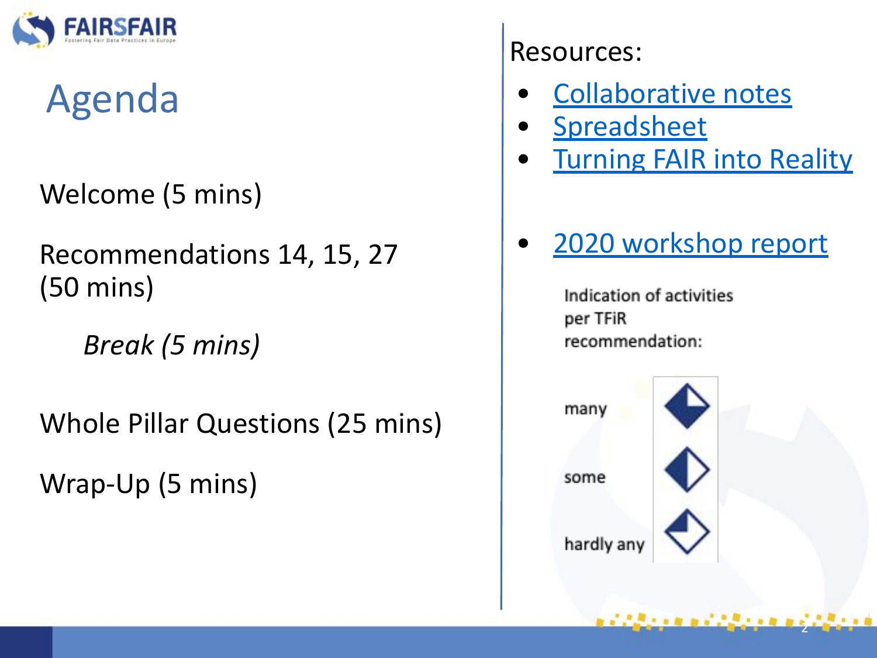

# Agenda

Welcome (5 mins)

Recommendations 14, 15, 27 (50 mins)

*Break (5 mins)* 

Whole Pillar Questions (25 mins)

Wrap-Up (5 mins)

Resources:

- [Collaborative notes](https://docs.google.com/document/d/1_JWMEIsRU_che60pc0dlJW3Lnz7_28taup3zFjKkkWU/edit)
- **[Spreadsheet](https://docs.google.com/spreadsheets/d/1gFm3XK4JEN5rdKEpq1HWpJM6iurckf6EByevXxR6wmE/edit?usp=sharing)**
- **[Turning FAIR into Reality](https://ec.europa.eu/info/sites/info/files/turning_fair_into_reality_1.pdf)**
- [2020 workshop report](https://www.fairsfair.eu/advisory-board/synchronisation-force)

Indication of activities per TFiR recommendation:



医皮肤发育的 医动脉切除术 医血清

2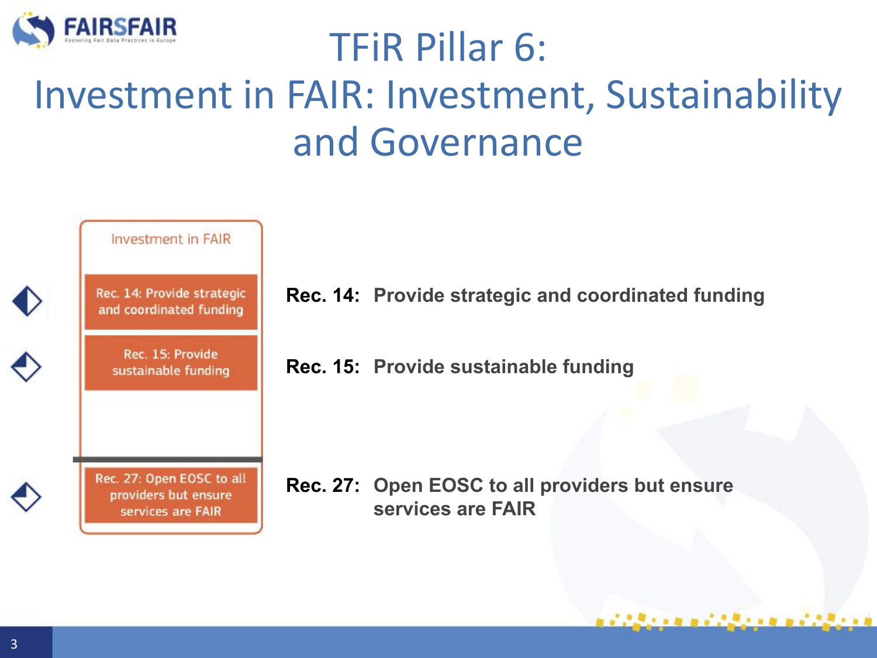

### TFiR Pillar 6: Investment in FAIR: Investment, Sustainability and Governance



**Rec. 14: Provide strategic and coordinated funding**

**Rec. 15: Provide sustainable funding**

**Rec. 27: Open EOSC to all providers but ensure** 

,,,,,,,,,,,,,,,,,,,,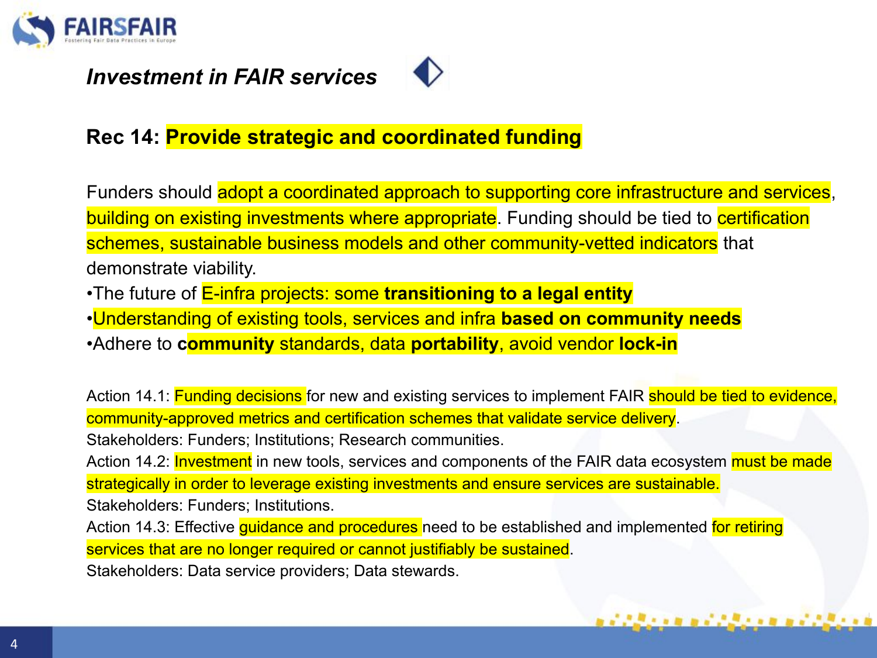

#### *Investment in FAIR services*



#### **Rec 14: Provide strategic and coordinated funding**

Funders should adopt a coordinated approach to supporting core infrastructure and services, building on existing investments where appropriate. Funding should be tied to certification schemes, sustainable business models and other community-vetted indicators that demonstrate viability.

•The future of E-infra projects: some **transitioning to a legal entity**

•Understanding of existing tools, services and infra **based on community needs**

•Adhere to **community** standards, data **portability**, avoid vendor **lock-in**

Action 14.1: **Funding decisions** for new and existing services to implement FAIR should be tied to evidence, community-approved metrics and certification schemes that validate service delivery.

Stakeholders: Funders; Institutions; Research communities.

Action 14.2: **Investment** in new tools, services and components of the FAIR data ecosystem must be made strategically in order to leverage existing investments and ensure services are sustainable. Stakeholders: Funders; Institutions.

. . . . . . . . . . . . . . . . . .

Action 14.3: Effective guidance and procedures need to be established and implemented for retiring services that are no longer required or cannot justifiably be sustained.

Stakeholders: Data service providers; Data stewards.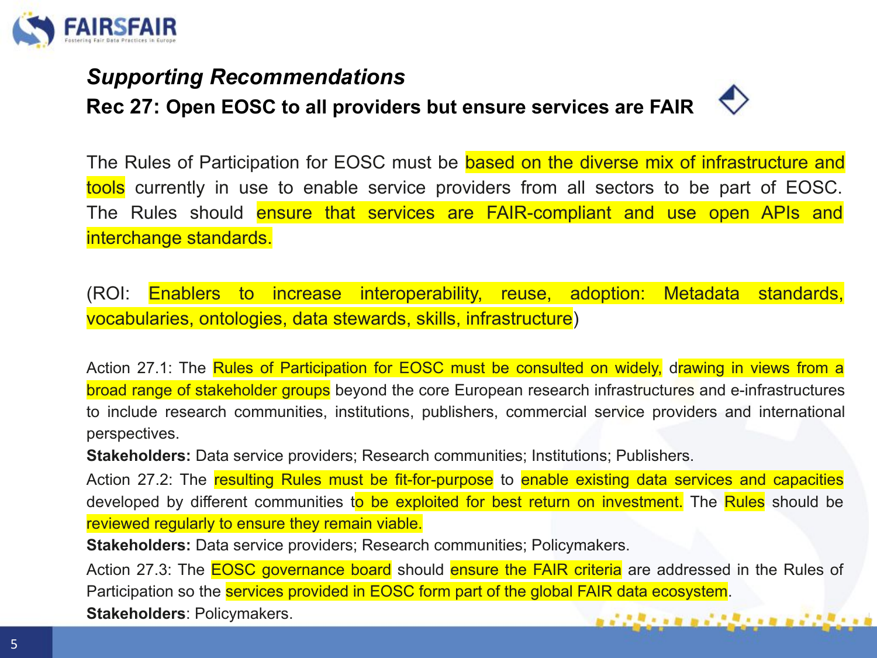

#### *Supporting Recommendations*

**Rec 27: Open EOSC to all providers but ensure services are FAIR**



The Rules of Participation for EOSC must be based on the diverse mix of infrastructure and tools currently in use to enable service providers from all sectors to be part of EOSC. The Rules should ensure that services are FAIR-compliant and use open APIs and interchange standards.

(ROI: Enablers to increase interoperability, reuse, adoption: Metadata standards, vocabularies, ontologies, data stewards, skills, infrastructure)

Action 27.1: The Rules of Participation for EOSC must be consulted on widely, drawing in views from a broad range of stakeholder groups beyond the core European research infrastructures and e-infrastructures to include research communities, institutions, publishers, commercial service providers and international perspectives.

**Stakeholders:** Data service providers; Research communities; Institutions; Publishers.

Action 27.2: The resulting Rules must be fit-for-purpose to enable existing data services and capacities developed by different communities to be exploited for best return on investment. The Rules should be reviewed regularly to ensure they remain viable.

**Stakeholders:** Data service providers; Research communities; Policymakers.

Action 27.3: The **EOSC governance board** should ensure the FAIR criteria are addressed in the Rules of Participation so the **services provided in EOSC form part of the global FAIR data ecosystem**. **Stakeholders**: Policymakers. 877879888788988878878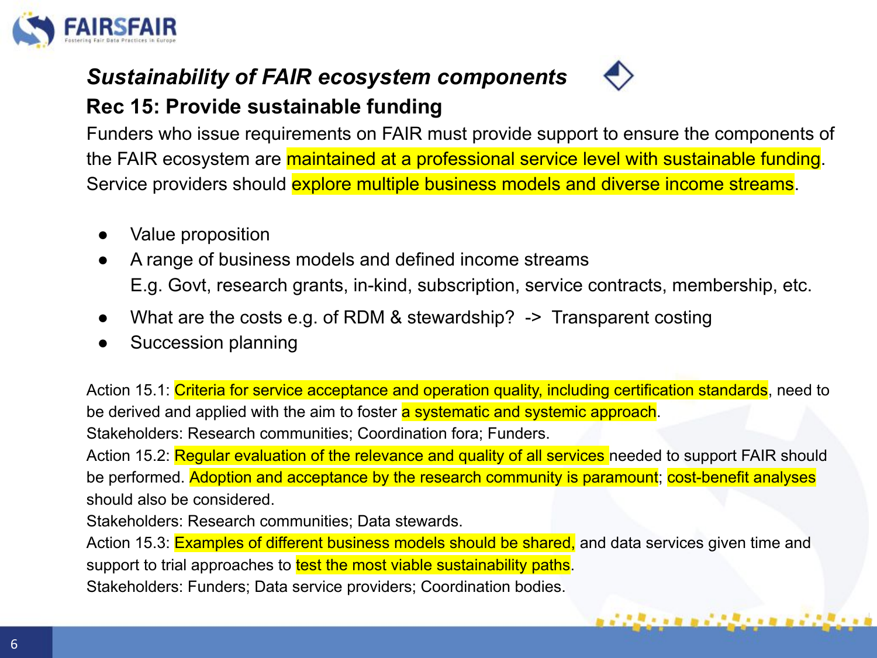

#### *Sustainability of FAIR ecosystem components* **Rec 15: Provide sustainable funding**

Funders who issue requirements on FAIR must provide support to ensure the components of the FAIR ecosystem are maintained at a professional service level with sustainable funding. Service providers should explore multiple business models and diverse income streams.

- Value proposition
- A range of business models and defined income streams E.g. Govt, research grants, in-kind, subscription, service contracts, membership, etc.
- What are the costs e.g. of RDM & stewardship?  $\rightarrow$  Transparent costing
- Succession planning

Action 15.1: Criteria for service acceptance and operation quality, including certification standards, need to be derived and applied with the aim to foster a systematic and systemic approach. Stakeholders: Research communities; Coordination fora; Funders.

Action 15.2: Regular evaluation of the relevance and quality of all services needed to support FAIR should be performed. Adoption and acceptance by the research community is paramount; cost-benefit analyses should also be considered.

Stakeholders: Research communities; Data stewards.

Action 15.3: Examples of different business models should be shared, and data services given time and support to trial approaches to test the most viable sustainability paths.

1990 - 2000 A.M. 2000 A.M. 2000

Stakeholders: Funders; Data service providers; Coordination bodies.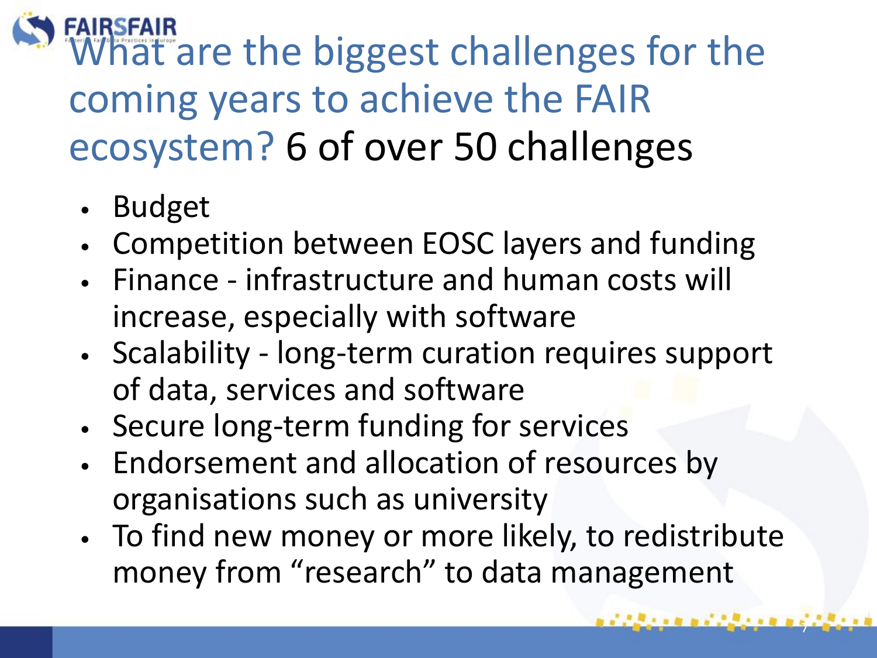FAIRSFAIR<br>What are the biggest challenges for the coming years to achieve the FAIR ecosystem? 6 of over 50 challenges

- Budget
- Competition between EOSC layers and funding
- Finance infrastructure and human costs will increase, especially with software
- Scalability long-term curation requires support of data, services and software
- Secure long-term funding for services
- Endorsement and allocation of resources by organisations such as university
- To find new money or more likely, to redistribute money from "research" to data management

7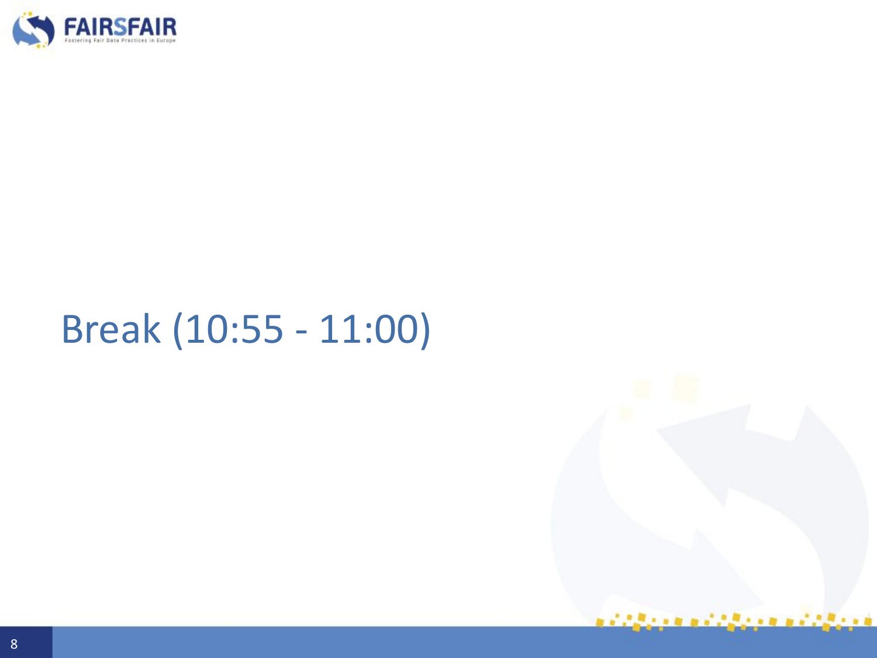

# Break (10:55 - 11:00)

i alian mendalam mendalam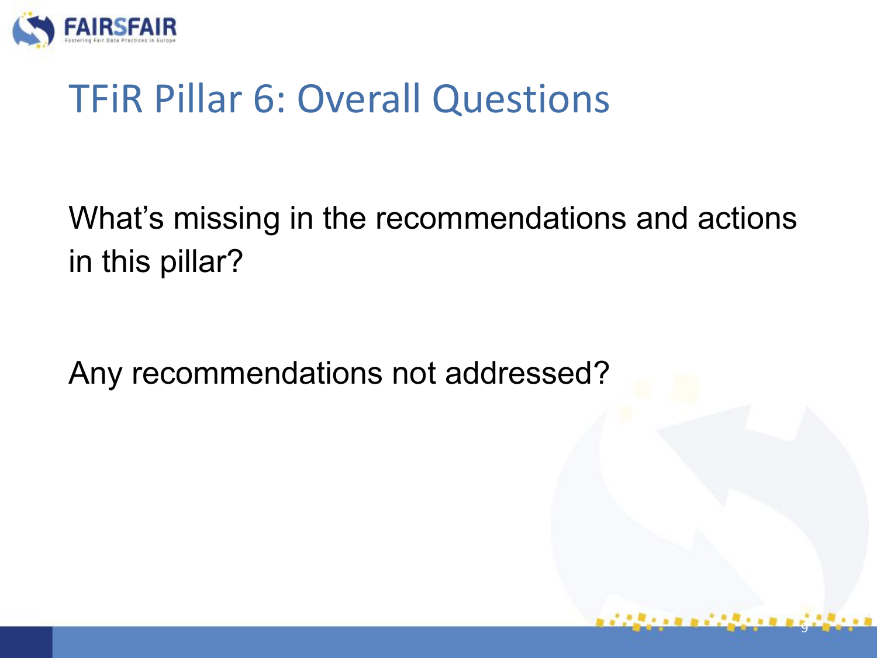

### TFiR Pillar 6: Overall Questions

What's missing in the recommendations and actions in this pillar?

9

Any recommendations not addressed?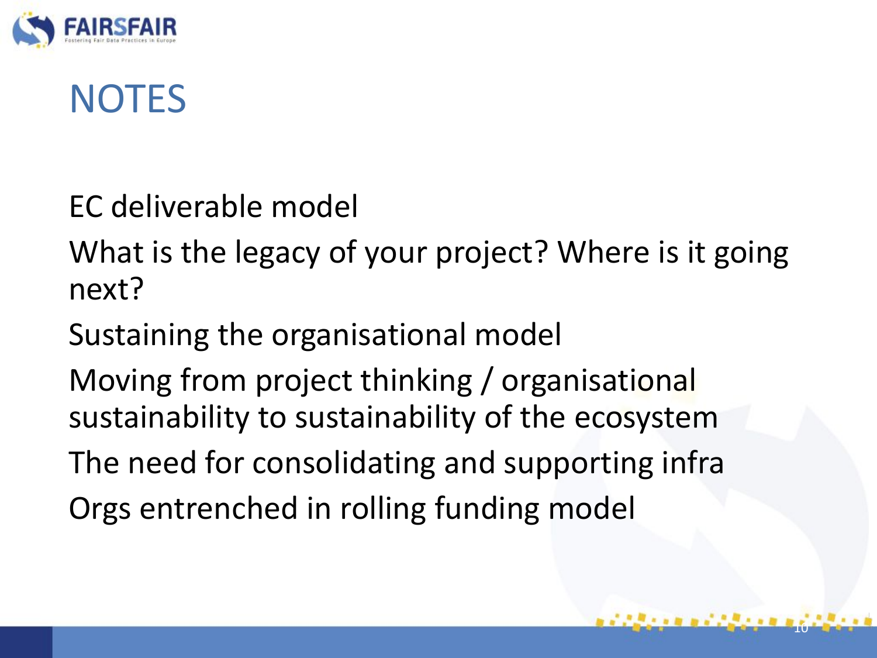

### **NOTES**

EC deliverable model

What is the legacy of your project? Where is it going next?

Sustaining the organisational model

Moving from project thinking / organisational sustainability to sustainability of the ecosystem

The need for consolidating and supporting infra

10

Orgs entrenched in rolling funding model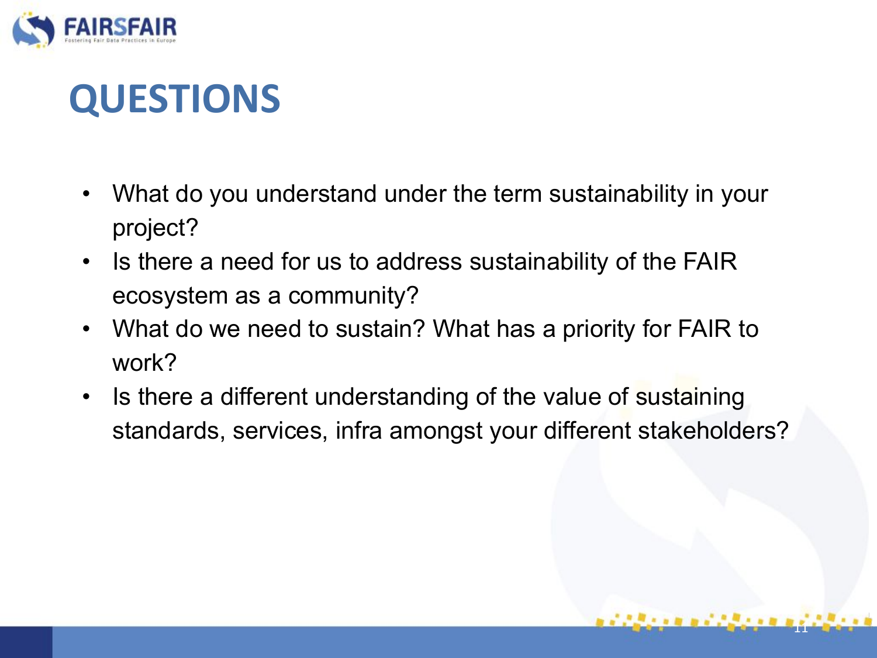

### **QUESTIONS**

- What do you understand under the term sustainability in your project?
- Is there a need for us to address sustainability of the FAIR ecosystem as a community?
- What do we need to sustain? What has a priority for FAIR to work?
- Is there a different understanding of the value of sustaining standards, services, infra amongst your different stakeholders?

11